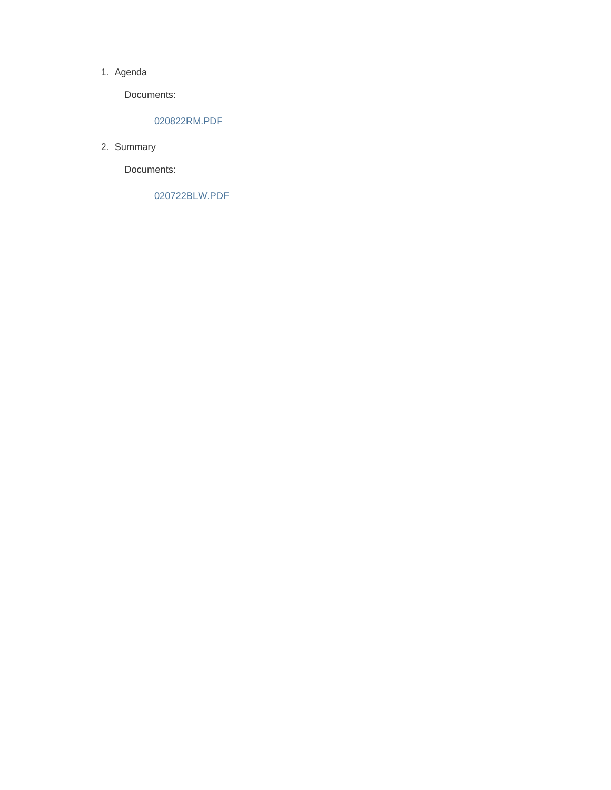### 1. Agenda

Documents:

### 020822RM.PDF

2. Summary

Documents:

020722BLW.PDF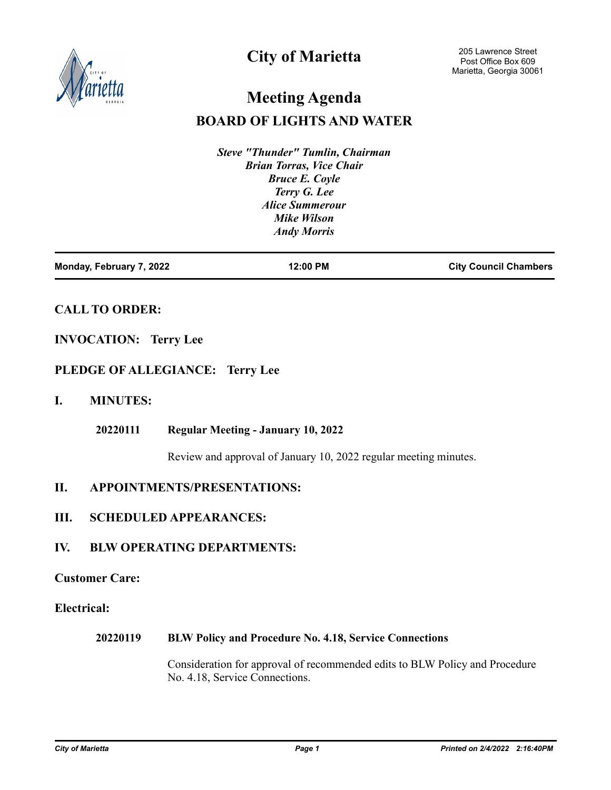

## **City of Marietta**

# **Meeting Agenda**

### **BOARD OF LIGHTS AND WATER**

*Steve "Thunder" Tumlin, Chairman Brian Torras, Vice Chair Bruce E. Coyle Terry G. Lee Alice Summerour Mike Wilson Andy Morris*

| Monday, February 7, 2022 | 12:00 PM | <b>City Council Chambers</b> |
|--------------------------|----------|------------------------------|
|                          |          |                              |

### **CALL TO ORDER:**

### **INVOCATION: Terry Lee**

### **PLEDGE OF ALLEGIANCE: Terry Lee**

### **I. MINUTES:**

#### **Regular Meeting - January 10, 2022 20220111**

Review and approval of January 10, 2022 regular meeting minutes.

### **II. APPOINTMENTS/PRESENTATIONS:**

### **III. SCHEDULED APPEARANCES:**

### **IV. BLW OPERATING DEPARTMENTS:**

### **Customer Care:**

### **Electrical:**

#### **BLW Policy and Procedure No. 4.18, Service Connections 20220119**

Consideration for approval of recommended edits to BLW Policy and Procedure No. 4.18, Service Connections.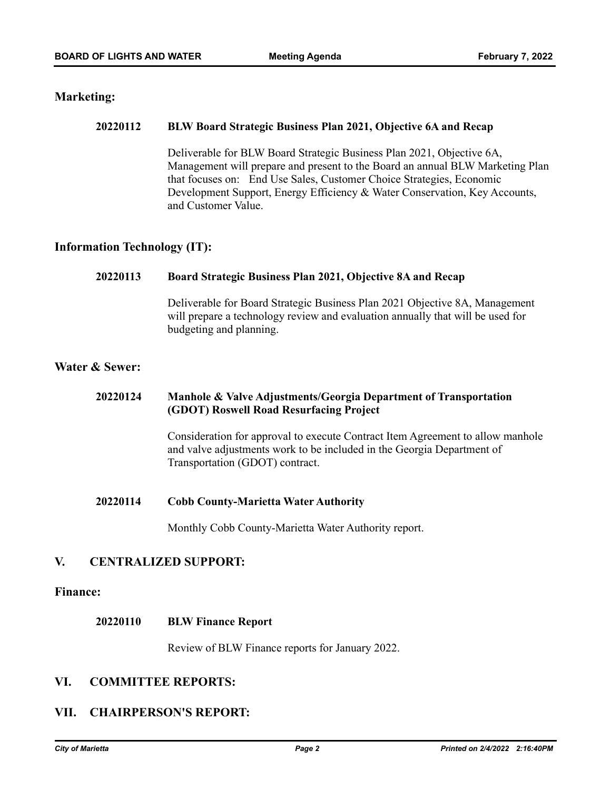### **Marketing:**

#### **BLW Board Strategic Business Plan 2021, Objective 6A and Recap 20220112**

Deliverable for BLW Board Strategic Business Plan 2021, Objective 6A, Management will prepare and present to the Board an annual BLW Marketing Plan that focuses on: End Use Sales, Customer Choice Strategies, Economic Development Support, Energy Efficiency & Water Conservation, Key Accounts, and Customer Value.

### **Information Technology (IT):**

#### **Board Strategic Business Plan 2021, Objective 8A and Recap 20220113**

Deliverable for Board Strategic Business Plan 2021 Objective 8A, Management will prepare a technology review and evaluation annually that will be used for budgeting and planning.

### **Water & Sewer:**

#### **Manhole & Valve Adjustments/Georgia Department of Transportation (GDOT) Roswell Road Resurfacing Project 20220124**

Consideration for approval to execute Contract Item Agreement to allow manhole and valve adjustments work to be included in the Georgia Department of Transportation (GDOT) contract.

**Cobb County-Marietta Water Authority 20220114**

Monthly Cobb County-Marietta Water Authority report.

### **V. CENTRALIZED SUPPORT:**

### **Finance:**

#### **BLW Finance Report 20220110**

Review of BLW Finance reports for January 2022.

### **VI. COMMITTEE REPORTS:**

### **VII. CHAIRPERSON'S REPORT:**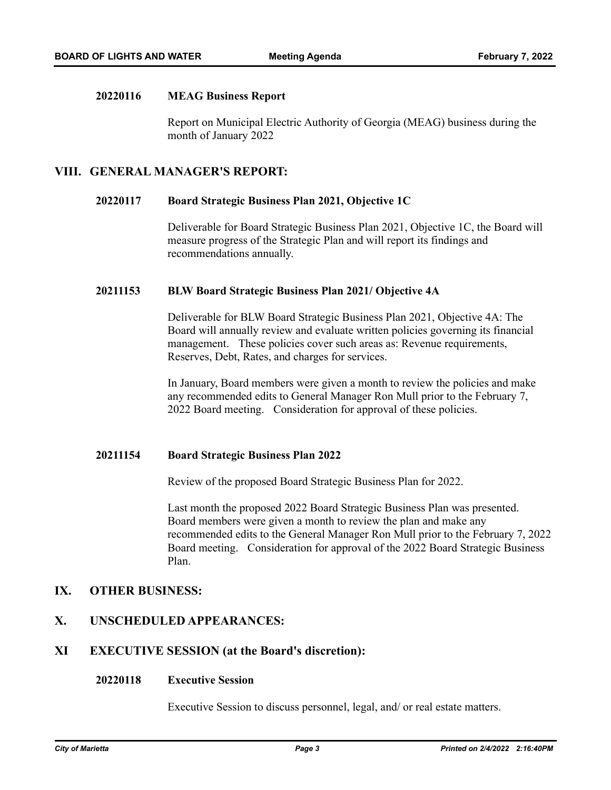#### **MEAG Business Report 20220116**

Report on Municipal Electric Authority of Georgia (MEAG) business during the month of January 2022

### **VIII. GENERAL MANAGER'S REPORT:**

#### **Board Strategic Business Plan 2021, Objective 1C 20220117**

Deliverable for Board Strategic Business Plan 2021, Objective 1C, the Board will measure progress of the Strategic Plan and will report its findings and recommendations annually.

#### **BLW Board Strategic Business Plan 2021/ Objective 4A 20211153**

Deliverable for BLW Board Strategic Business Plan 2021, Objective 4A: The Board will annually review and evaluate written policies governing its financial management. These policies cover such areas as: Revenue requirements, Reserves, Debt, Rates, and charges for services.

In January, Board members were given a month to review the policies and make any recommended edits to General Manager Ron Mull prior to the February 7, 2022 Board meeting. Consideration for approval of these policies.

#### **Board Strategic Business Plan 2022 20211154**

Review of the proposed Board Strategic Business Plan for 2022.

Last month the proposed 2022 Board Strategic Business Plan was presented. Board members were given a month to review the plan and make any recommended edits to the General Manager Ron Mull prior to the February 7, 2022 Board meeting. Consideration for approval of the 2022 Board Strategic Business Plan.

### **IX. OTHER BUSINESS:**

### **X. UNSCHEDULED APPEARANCES:**

### **XI EXECUTIVE SESSION (at the Board's discretion):**

#### **Executive Session 20220118**

Executive Session to discuss personnel, legal, and/ or real estate matters.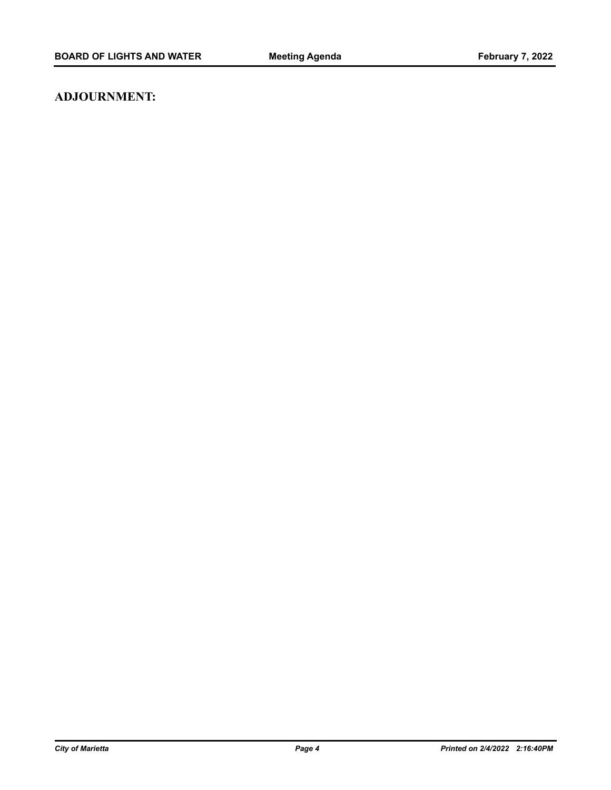### **ADJOURNMENT:**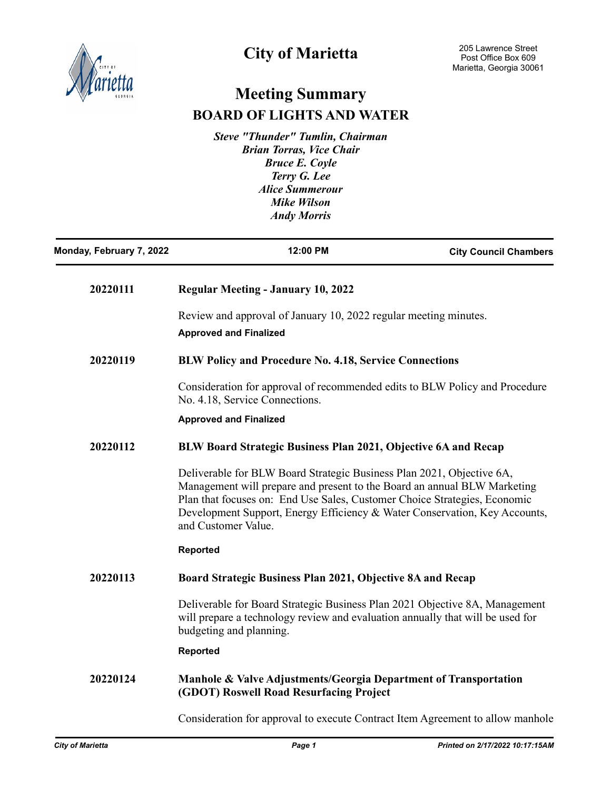

# **City of Marietta**

# **Meeting Summary BOARD OF LIGHTS AND WATER**

*Steve "Thunder" Tumlin, Chairman Brian Torras, Vice Chair Bruce E. Coyle Terry G. Lee Alice Summerour Mike Wilson Andy Morris*

| Monday, February 7, 2022 | 12:00 PM                                                                                                                                                                                                                                                                                                                            | <b>City Council Chambers</b> |
|--------------------------|-------------------------------------------------------------------------------------------------------------------------------------------------------------------------------------------------------------------------------------------------------------------------------------------------------------------------------------|------------------------------|
| 20220111                 | <b>Regular Meeting - January 10, 2022</b>                                                                                                                                                                                                                                                                                           |                              |
|                          | Review and approval of January 10, 2022 regular meeting minutes.<br><b>Approved and Finalized</b>                                                                                                                                                                                                                                   |                              |
| 20220119                 | <b>BLW Policy and Procedure No. 4.18, Service Connections</b>                                                                                                                                                                                                                                                                       |                              |
|                          | Consideration for approval of recommended edits to BLW Policy and Procedure<br>No. 4.18, Service Connections.                                                                                                                                                                                                                       |                              |
|                          | <b>Approved and Finalized</b>                                                                                                                                                                                                                                                                                                       |                              |
| 20220112                 | BLW Board Strategic Business Plan 2021, Objective 6A and Recap                                                                                                                                                                                                                                                                      |                              |
|                          | Deliverable for BLW Board Strategic Business Plan 2021, Objective 6A,<br>Management will prepare and present to the Board an annual BLW Marketing<br>Plan that focuses on: End Use Sales, Customer Choice Strategies, Economic<br>Development Support, Energy Efficiency & Water Conservation, Key Accounts,<br>and Customer Value. |                              |
|                          | <b>Reported</b>                                                                                                                                                                                                                                                                                                                     |                              |
| 20220113                 | Board Strategic Business Plan 2021, Objective 8A and Recap                                                                                                                                                                                                                                                                          |                              |
|                          | Deliverable for Board Strategic Business Plan 2021 Objective 8A, Management<br>will prepare a technology review and evaluation annually that will be used for<br>budgeting and planning.                                                                                                                                            |                              |
|                          | <b>Reported</b>                                                                                                                                                                                                                                                                                                                     |                              |
| 20220124                 | Manhole & Valve Adjustments/Georgia Department of Transportation<br>(GDOT) Roswell Road Resurfacing Project                                                                                                                                                                                                                         |                              |

Consideration for approval to execute Contract Item Agreement to allow manhole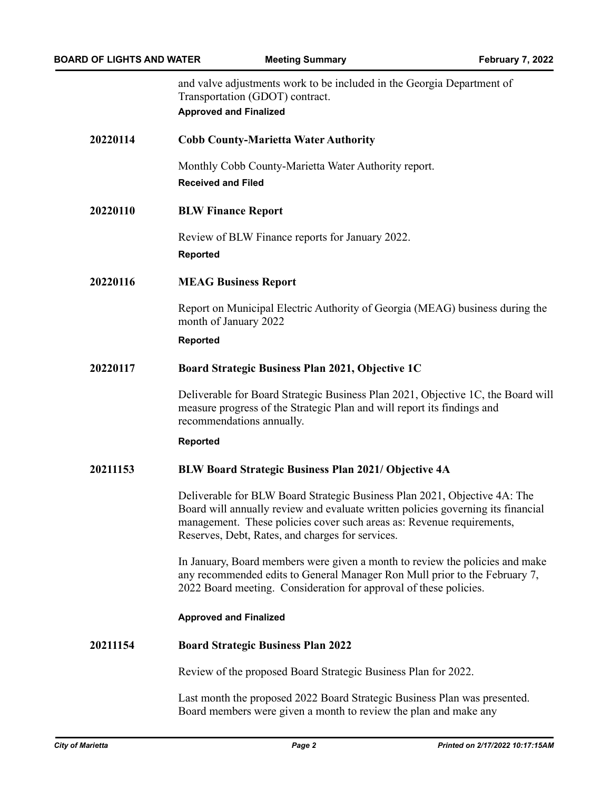|          | and valve adjustments work to be included in the Georgia Department of<br>Transportation (GDOT) contract.<br><b>Approved and Finalized</b>                                                                                                                                                 |
|----------|--------------------------------------------------------------------------------------------------------------------------------------------------------------------------------------------------------------------------------------------------------------------------------------------|
| 20220114 | <b>Cobb County-Marietta Water Authority</b>                                                                                                                                                                                                                                                |
|          | Monthly Cobb County-Marietta Water Authority report.<br><b>Received and Filed</b>                                                                                                                                                                                                          |
| 20220110 | <b>BLW Finance Report</b>                                                                                                                                                                                                                                                                  |
|          | Review of BLW Finance reports for January 2022.<br><b>Reported</b>                                                                                                                                                                                                                         |
| 20220116 | <b>MEAG Business Report</b>                                                                                                                                                                                                                                                                |
|          | Report on Municipal Electric Authority of Georgia (MEAG) business during the<br>month of January 2022                                                                                                                                                                                      |
|          | <b>Reported</b>                                                                                                                                                                                                                                                                            |
| 20220117 | Board Strategic Business Plan 2021, Objective 1C                                                                                                                                                                                                                                           |
|          | Deliverable for Board Strategic Business Plan 2021, Objective 1C, the Board will<br>measure progress of the Strategic Plan and will report its findings and<br>recommendations annually.                                                                                                   |
|          | <b>Reported</b>                                                                                                                                                                                                                                                                            |
| 20211153 | <b>BLW Board Strategic Business Plan 2021/ Objective 4A</b>                                                                                                                                                                                                                                |
|          | Deliverable for BLW Board Strategic Business Plan 2021, Objective 4A: The<br>Board will annually review and evaluate written policies governing its financial<br>management. These policies cover such areas as: Revenue requirements,<br>Reserves, Debt, Rates, and charges for services. |
|          | In January, Board members were given a month to review the policies and make<br>any recommended edits to General Manager Ron Mull prior to the February 7,<br>2022 Board meeting. Consideration for approval of these policies.                                                            |
|          | <b>Approved and Finalized</b>                                                                                                                                                                                                                                                              |
| 20211154 | <b>Board Strategic Business Plan 2022</b>                                                                                                                                                                                                                                                  |
|          | Review of the proposed Board Strategic Business Plan for 2022.                                                                                                                                                                                                                             |
|          | Last month the proposed 2022 Board Strategic Business Plan was presented.<br>Board members were given a month to review the plan and make any                                                                                                                                              |